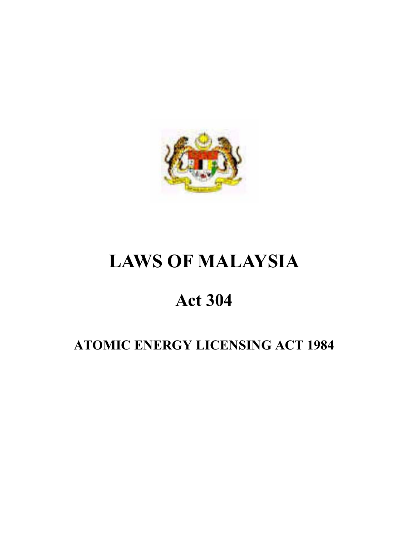

# **LAWS OF MALAYSIA**

# **Act 304**

# **ATOMIC ENERGY LICENSING ACT 1984**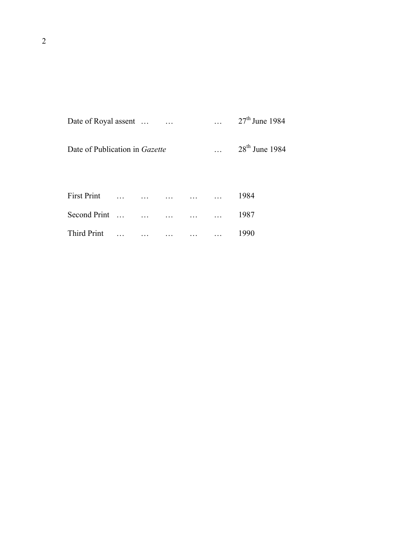| Date of Royal assent |  | $27th$ June 1984 |
|----------------------|--|------------------|
|                      |  |                  |

| Date of Publication in Gazette | $\ddotsc$ | $28th$ June 1984 |
|--------------------------------|-----------|------------------|

| <b>First Print</b> |  |  | 1984. |
|--------------------|--|--|-------|
| Second Print       |  |  | 1987  |
| Third Print        |  |  | 1990- |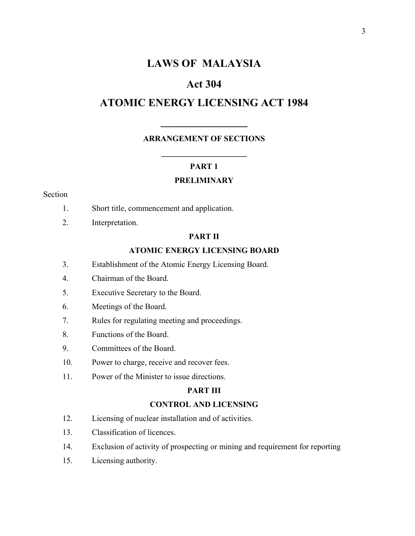# **LAWS OF MALAYSIA**

# **Act 304**

# **ATOMIC ENERGY LICENSING ACT 1984**

**\_\_\_\_\_\_\_\_\_\_\_\_\_\_\_\_** 

### **ARRANGEMENT OF SECTIONS**

#### **PART 1**

**\_\_\_\_\_\_\_\_\_\_\_\_\_\_\_\_\_\_\_\_\_** 

#### **PRELIMINARY**

#### Section

- 1. Short title, commencement and application.
- 2. Interpretation.

### **PART II**

## **ATOMIC ENERGY LICENSING BOARD**

- 3. Establishment of the Atomic Energy Licensing Board.
- 4. Chairman of the Board.
- 5. Executive Secretary to the Board.
- 6. Meetings of the Board.
- 7. Rules for regulating meeting and proceedings.
- 8. Functions of the Board.
- 9. Committees of the Board.
- 10. Power to charge, receive and recover fees.
- 11. Power of the Minister to issue directions.

### **PART III**

#### **CONTROL AND LICENSING**

- 12. Licensing of nuclear installation and of activities.
- 13. Classification of licences.
- 14. Exclusion of activity of prospecting or mining and requirement for reporting
- 15. Licensing authority.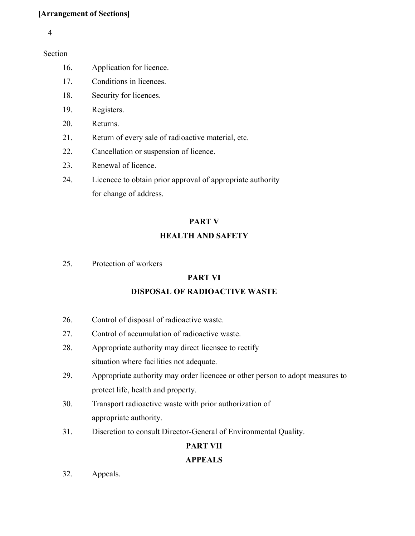## **[Arrangement of Sections]**

#### 4

Section

- 16. Application for licence.
- 17. Conditions in licences.
- 18. Security for licences.
- 19. Registers.
- 20. Returns.
- 21. Return of every sale of radioactive material, etc.
- 22. Cancellation or suspension of licence.
- 23. Renewal of licence.
- 24. Licencee to obtain prior approval of appropriate authority for change of address.

## **PART V**

## **HEALTH AND SAFETY**

25. Protection of workers

## **PART VI**

## **DISPOSAL OF RADIOACTIVE WASTE**

- 26. Control of disposal of radioactive waste.
- 27. Control of accumulation of radioactive waste.
- 28. Appropriate authority may direct licensee to rectify situation where facilities not adequate.
- 29. Appropriate authority may order licencee or other person to adopt measures to protect life, health and property.
- 30. Transport radioactive waste with prior authorization of appropriate authority.
- 31. Discretion to consult Director-General of Environmental Quality.

# **PART VII**

## **APPEALS**

32. Appeals.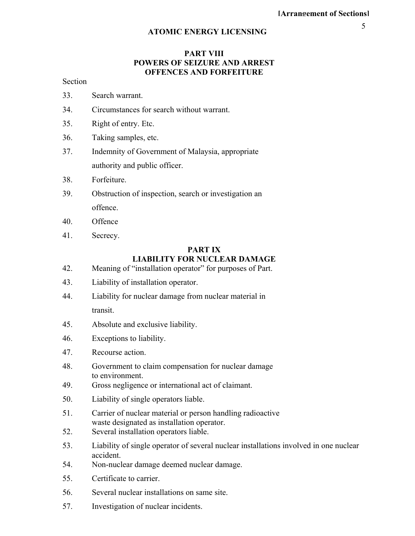#### **PART VIII POWERS OF SEIZURE AND ARREST OFFENCES AND FORFEITURE**

#### Section

- 33. Search warrant.
- 34. Circumstances for search without warrant.
- 35. Right of entry. Etc.
- 36. Taking samples, etc.
- 37. Indemnity of Government of Malaysia, appropriate authority and public officer.
- 38. Forfeiture.
- 39. Obstruction of inspection, search or investigation an offence.
- 40. Offence
- 41. Secrecy.

## **PART IX LIABILITY FOR NUCLEAR DAMAGE**

- 42. Meaning of "installation operator" for purposes of Part.
- 43. Liability of installation operator.
- 44. Liability for nuclear damage from nuclear material in transit.
- 45. Absolute and exclusive liability.
- 46. Exceptions to liability.
- 47. Recourse action.
- 48. Government to claim compensation for nuclear damage to environment.
- 49. Gross negligence or international act of claimant.
- 50. Liability of single operators liable.
- 51. Carrier of nuclear material or person handling radioactive waste designated as installation operator.
- 52. Several installation operators liable.
- 53. Liability of single operator of several nuclear installations involved in one nuclear accident.
- 54. Non-nuclear damage deemed nuclear damage.
- 55. Certificate to carrier.
- 56. Several nuclear installations on same site.
- 57. Investigation of nuclear incidents.

5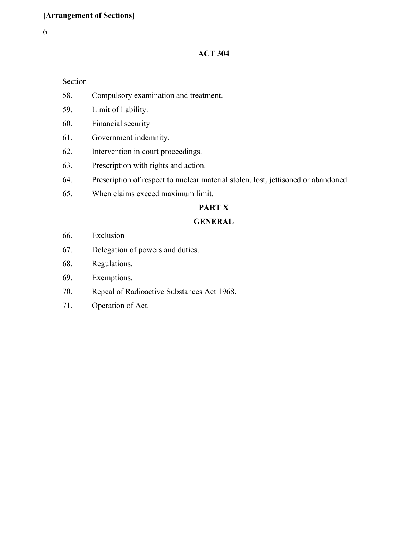## **ACT 304**

#### Section

- 58. Compulsory examination and treatment.
- 59. Limit of liability.
- 60. Financial security
- 61. Government indemnity.
- 62. Intervention in court proceedings.
- 63. Prescription with rights and action.
- 64. Prescription of respect to nuclear material stolen, lost, jettisoned or abandoned.
- 65. When claims exceed maximum limit.

## **PART X**

## **GENERAL**

- 66. Exclusion
- 67. Delegation of powers and duties.
- 68. Regulations.
- 69. Exemptions.
- 70. Repeal of Radioactive Substances Act 1968.
- 71. Operation of Act.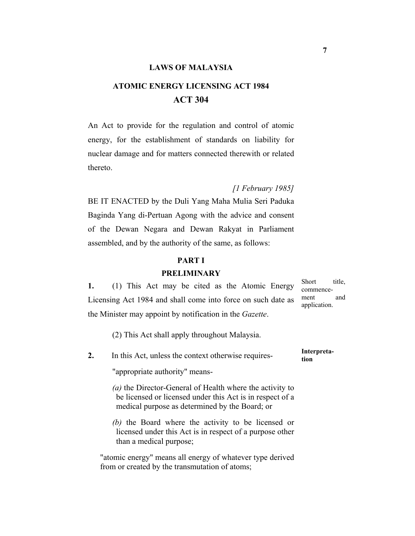#### **LAWS OF MALAYSIA**

# **ATOMIC ENERGY LICENSING ACT 1984 ACT 304**

An Act to provide for the regulation and control of atomic energy, for the establishment of standards on liability for nuclear damage and for matters connected therewith or related thereto.

*[1 February 1985]*

BE IT ENACTED by the Duli Yang Maha Mulia Seri Paduka Baginda Yang di-Pertuan Agong with the advice and consent of the Dewan Negara and Dewan Rakyat in Parliament assembled, and by the authority of the same, as follows:

#### **PART I**

#### **PRELIMINARY**

**1.** (1) This Act may be cited as the Atomic Energy Licensing Act 1984 and shall come into force on such date as the Minister may appoint by notification in the *Gazette*.

Short title, commencement and application.

(2) This Act shall apply throughout Malaysia.

**2.** In this Act, unless the context otherwise requires- **Interpretation** 

"appropriate authority" means-

*(a)* the Director-General of Health where the activity to be licensed or licensed under this Act is in respect of a medical purpose as determined by the Board; or

*(b)* the Board where the activity to be licensed or licensed under this Act is in respect of a purpose other than a medical purpose;

"atomic energy" means all energy of whatever type derived from or created by the transmutation of atoms;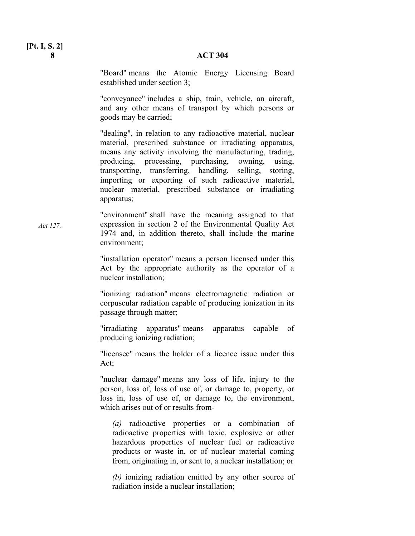#### **8 ACT 304**

"Board" means the Atomic Energy Licensing Board established under section 3;

"conveyance" includes a ship, train, vehicle, an aircraft, and any other means of transport by which persons or goods may be carried;

"dealing", in relation to any radioactive material, nuclear material, prescribed substance or irradiating apparatus, means any activity involving the manufacturing, trading, producing, processing, purchasing, owning, using, transporting, transferring, handling, selling, storing, importing or exporting of such radioactive material, nuclear material, prescribed substance or irradiating apparatus;

"environment" shall have the meaning assigned to that expression in section 2 of the Environmental Quality Act 1974 and, in addition thereto, shall include the marine environment;

> "installation operator" means a person licensed under this Act by the appropriate authority as the operator of a nuclear installation;

> "ionizing radiation" means electromagnetic radiation or corpuscular radiation capable of producing ionization in its passage through matter;

> "irradiating apparatus" means apparatus capable of producing ionizing radiation;

> "licensee" means the holder of a licence issue under this Act;

> "nuclear damage" means any loss of life, injury to the person, loss of, loss of use of, or damage to, property, or loss in, loss of use of, or damage to, the environment, which arises out of or results from-

*(a)* radioactive properties or a combination of radioactive properties with toxic, explosive or other hazardous properties of nuclear fuel or radioactive products or waste in, or of nuclear material coming from, originating in, or sent to, a nuclear installation; or

*(b)* ionizing radiation emitted by any other source of radiation inside a nuclear installation;

**[Pt. I, S. 2]** 

*Act 127.*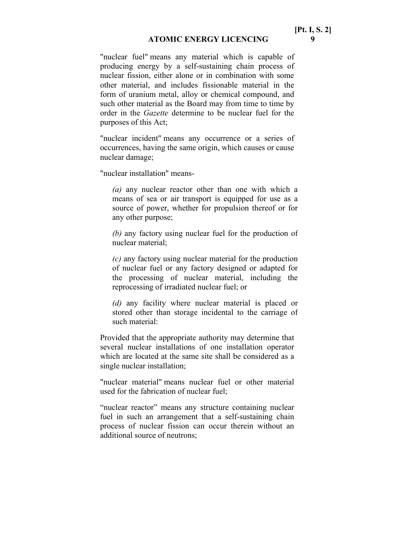"nuclear fuel" means any material which is capable of producing energy by a self-sustaining chain process of nuclear fission, either alone or in combination with some other material, and includes fissionable material in the form of uranium metal, alloy or chemical compound, and such other material as the Board may from time to time by order in the *Gazette* determine to be nuclear fuel for the purposes of this Act;

"nuclear incident" means any occurrence or a series of occurrences, having the same origin, which causes or cause nuclear damage;

"nuclear installation" means-

*(a)* any nuclear reactor other than one with which a means of sea or air transport is equipped for use as a source of power, whether for propulsion thereof or for any other purpose;

*(b)* any factory using nuclear fuel for the production of nuclear material;

*(c)* any factory using nuclear material for the production of nuclear fuel or any factory designed or adapted for the processing of nuclear material, including the reprocessing of irradiated nuclear fuel; or

*(d)* any facility where nuclear material is placed or stored other than storage incidental to the carriage of such material:

Provided that the appropriate authority may determine that several nuclear installations of one installation operator which are located at the same site shall be considered as a single nuclear installation;

"nuclear material" means nuclear fuel or other material used for the fabrication of nuclear fuel;

"nuclear reactor" means any structure containing nuclear fuel in such an arrangement that a self-sustaining chain process of nuclear fission can occur therein without an additional source of neutrons;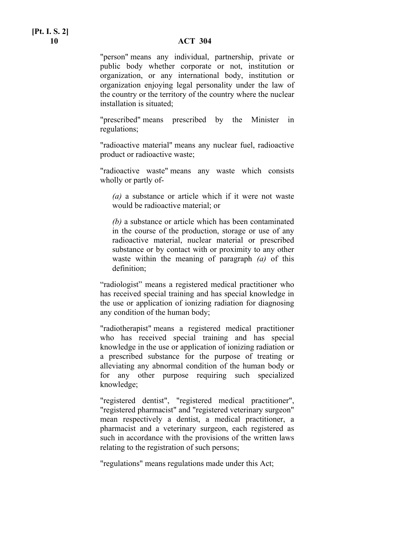# **[Pt. I. S. 2]**

#### **10 ACT 304**

"person" means any individual, partnership, private or public body whether corporate or not, institution or organization, or any international body, institution or organization enjoying legal personality under the law of the country or the territory of the country where the nuclear installation is situated;

"prescribed" means prescribed by the Minister in regulations;

"radioactive material" means any nuclear fuel, radioactive product or radioactive waste;

"radioactive waste" means any waste which consists wholly or partly of-

*(a)* a substance or article which if it were not waste would be radioactive material; or

*(b)* a substance or article which has been contaminated in the course of the production, storage or use of any radioactive material, nuclear material or prescribed substance or by contact with or proximity to any other waste within the meaning of paragraph *(a)* of this definition;

"radiologist" means a registered medical practitioner who has received special training and has special knowledge in the use or application of ionizing radiation for diagnosing any condition of the human body;

"radiotherapist" means a registered medical practitioner who has received special training and has special knowledge in the use or application of ionizing radiation or a prescribed substance for the purpose of treating or alleviating any abnormal condition of the human body or for any other purpose requiring such specialized knowledge;

"registered dentist", "registered medical practitioner", "registered pharmacist" and "registered veterinary surgeon" mean respectively a dentist, a medical practitioner, a pharmacist and a veterinary surgeon, each registered as such in accordance with the provisions of the written laws relating to the registration of such persons;

"regulations" means regulations made under this Act;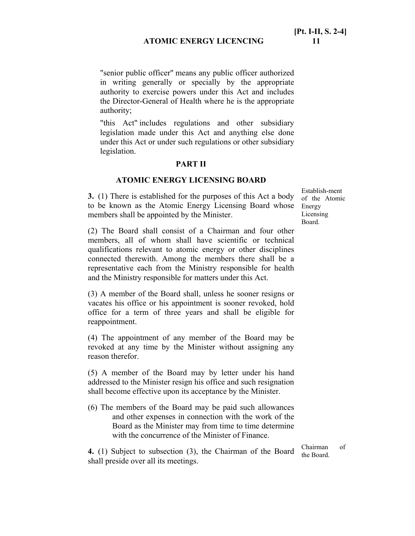"senior public officer" means any public officer authorized in writing generally or specially by the appropriate authority to exercise powers under this Act and includes the Director-General of Health where he is the appropriate authority;

"this Act" includes regulations and other subsidiary legislation made under this Act and anything else done under this Act or under such regulations or other subsidiary legislation.

#### **PART II**

#### **ATOMIC ENERGY LICENSING BOARD**

**3.** (1) There is established for the purposes of this Act a body to be known as the Atomic Energy Licensing Board whose Energy members shall be appointed by the Minister.

(2) The Board shall consist of a Chairman and four other members, all of whom shall have scientific or technical qualifications relevant to atomic energy or other disciplines connected therewith. Among the members there shall be a representative each from the Ministry responsible for health and the Ministry responsible for matters under this Act.

(3) A member of the Board shall, unless he sooner resigns or vacates his office or his appointment is sooner revoked, hold office for a term of three years and shall be eligible for reappointment.

(4) The appointment of any member of the Board may be revoked at any time by the Minister without assigning any reason therefor.

(5) A member of the Board may by letter under his hand addressed to the Minister resign his office and such resignation shall become effective upon its acceptance by the Minister.

(6) The members of the Board may be paid such allowances and other expenses in connection with the work of the Board as the Minister may from time to time determine with the concurrence of the Minister of Finance.

**4.** (1) Subject to subsection (3), the Chairman of the Board shall preside over all its meetings.

Establish-ment of the Atomic Licensing Board.

Chairman of the Board.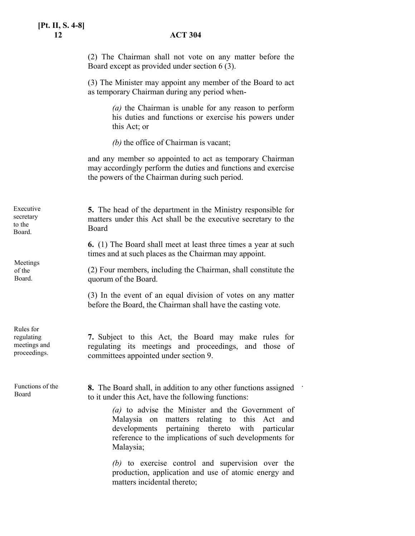|                                                         | (2) The Chairman shall not vote on any matter before the<br>Board except as provided under section 6 (3).                                                                                                                                                                                                                                            |
|---------------------------------------------------------|------------------------------------------------------------------------------------------------------------------------------------------------------------------------------------------------------------------------------------------------------------------------------------------------------------------------------------------------------|
|                                                         | (3) The Minister may appoint any member of the Board to act<br>as temporary Chairman during any period when-                                                                                                                                                                                                                                         |
|                                                         | (a) the Chairman is unable for any reason to perform<br>his duties and functions or exercise his powers under<br>this Act; or                                                                                                                                                                                                                        |
|                                                         | (b) the office of Chairman is vacant;                                                                                                                                                                                                                                                                                                                |
|                                                         | and any member so appointed to act as temporary Chairman<br>may accordingly perform the duties and functions and exercise<br>the powers of the Chairman during such period.                                                                                                                                                                          |
| Executive<br>secretary<br>to the<br>Board.              | 5. The head of the department in the Ministry responsible for<br>matters under this Act shall be the executive secretary to the<br>Board                                                                                                                                                                                                             |
| Meetings<br>of the<br>Board.                            | <b>6.</b> (1) The Board shall meet at least three times a year at such<br>times and at such places as the Chairman may appoint.                                                                                                                                                                                                                      |
|                                                         | (2) Four members, including the Chairman, shall constitute the<br>quorum of the Board.                                                                                                                                                                                                                                                               |
|                                                         | (3) In the event of an equal division of votes on any matter<br>before the Board, the Chairman shall have the casting vote.                                                                                                                                                                                                                          |
| Rules for<br>regulating<br>meetings and<br>proceedings. | 7. Subject to this Act, the Board may make rules for<br>regulating its meetings and proceedings,<br>and those of<br>committees appointed under section 9.                                                                                                                                                                                            |
| Functions of the<br>Board                               | 8. The Board shall, in addition to any other functions assigned<br>to it under this Act, have the following functions:<br>(a) to advise the Minister and the Government of<br>Malaysia on matters relating to this Act and<br>developments pertaining thereto with particular<br>reference to the implications of such developments for<br>Malaysia; |
|                                                         | (b) to exercise control and supervision over the<br>production, application and use of atomic energy and<br>matters incidental thereto;                                                                                                                                                                                                              |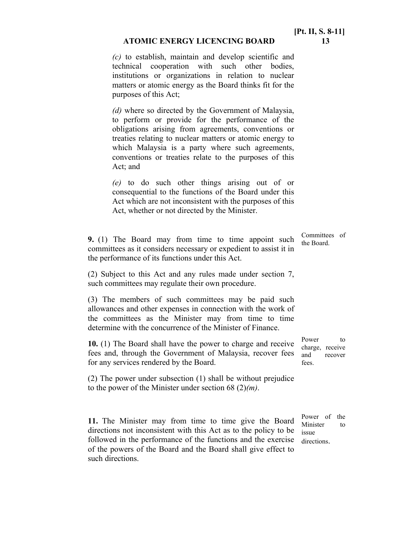#### **ATOMIC ENERGY LICENCING BOARD 13**

*(c)* to establish, maintain and develop scientific and technical cooperation with such other bodies, institutions or organizations in relation to nuclear matters or atomic energy as the Board thinks fit for the purposes of this Act;

*(d)* where so directed by the Government of Malaysia, to perform or provide for the performance of the obligations arising from agreements, conventions or treaties relating to nuclear matters or atomic energy to which Malaysia is a party where such agreements, conventions or treaties relate to the purposes of this Act; and

*(e)* to do such other things arising out of or consequential to the functions of the Board under this Act which are not inconsistent with the purposes of this Act, whether or not directed by the Minister.

**9.** (1) The Board may from time to time appoint such committees as it considers necessary or expedient to assist it in the performance of its functions under this Act.

Committees of the Board.

(2) Subject to this Act and any rules made under section 7, such committees may regulate their own procedure.

(3) The members of such committees may be paid such allowances and other expenses in connection with the work of the committees as the Minister may from time to time determine with the concurrence of the Minister of Finance.

**10.** (1) The Board shall have the power to charge and receive fees and, through the Government of Malaysia, recover fees for any services rendered by the Board.

(2) The power under subsection (1) shall be without prejudice to the power of the Minister under section 68 (2)*(m)*.

**11.** The Minister may from time to time give the Board directions not inconsistent with this Act as to the policy to be followed in the performance of the functions and the exercise of the powers of the Board and the Board shall give effect to such directions.

Power to charge, receive and recover fees.

Power of the Minister to issue directions.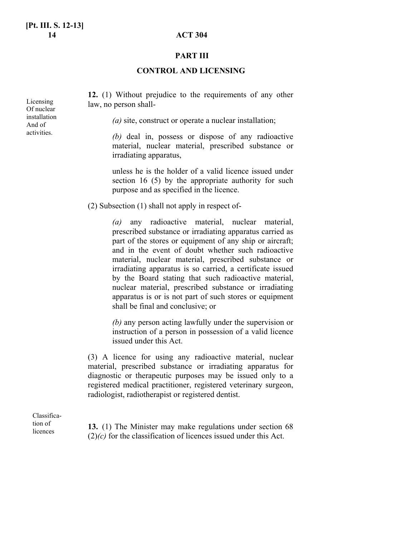#### **PART III**

#### **CONTROL AND LICENSING**

**12.** (1) Without prejudice to the requirements of any other law, no person shall-

*(a)* site, construct or operate a nuclear installation;

*(b)* deal in, possess or dispose of any radioactive material, nuclear material, prescribed substance or irradiating apparatus,

unless he is the holder of a valid licence issued under section 16 (5) by the appropriate authority for such purpose and as specified in the licence.

(2) Subsection (1) shall not apply in respect of-

*(a)* any radioactive material, nuclear material, prescribed substance or irradiating apparatus carried as part of the stores or equipment of any ship or aircraft; and in the event of doubt whether such radioactive material, nuclear material, prescribed substance or irradiating apparatus is so carried, a certificate issued by the Board stating that such radioactive material, nuclear material, prescribed substance or irradiating apparatus is or is not part of such stores or equipment shall be final and conclusive; or

*(b)* any person acting lawfully under the supervision or instruction of a person in possession of a valid licence issued under this Act.

(3) A licence for using any radioactive material, nuclear material, prescribed substance or irradiating apparatus for diagnostic or therapeutic purposes may be issued only to a registered medical practitioner, registered veterinary surgeon, radiologist, radiotherapist or registered dentist.

Classification of licences

**13.** (1) The Minister may make regulations under section 68 (2)*(c)* for the classification of licences issued under this Act.

Licensing Of nuclear installation And of activities.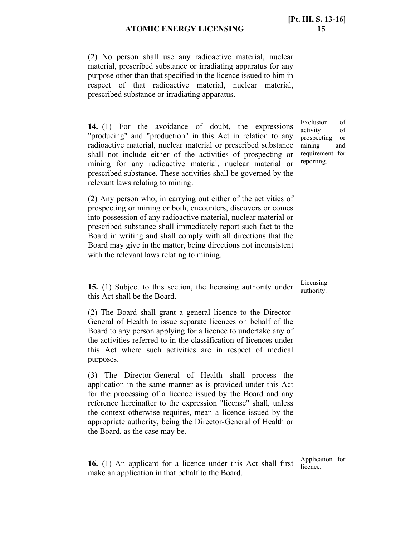(2) No person shall use any radioactive material, nuclear material, prescribed substance or irradiating apparatus for any purpose other than that specified in the licence issued to him in respect of that radioactive material, nuclear material, prescribed substance or irradiating apparatus.

**14.** (1) For the avoidance of doubt, the expressions "producing" and "production" in this Act in relation to any radioactive material, nuclear material or prescribed substance shall not include either of the activities of prospecting or mining for any radioactive material, nuclear material or prescribed substance. These activities shall be governed by the relevant laws relating to mining.

Exclusion of activity of prospecting or mining and requirement for reporting.

(2) Any person who, in carrying out either of the activities of prospecting or mining or both, encounters, discovers or comes into possession of any radioactive material, nuclear material or prescribed substance shall immediately report such fact to the Board in writing and shall comply with all directions that the Board may give in the matter, being directions not inconsistent with the relevant laws relating to mining.

**15.** (1) Subject to this section, the licensing authority under this Act shall be the Board.

(2) The Board shall grant a general licence to the Director-General of Health to issue separate licences on behalf of the Board to any person applying for a licence to undertake any of the activities referred to in the classification of licences under this Act where such activities are in respect of medical purposes.

(3) The Director-General of Health shall process the application in the same manner as is provided under this Act for the processing of a licence issued by the Board and any reference hereinafter to the expression "license" shall, unless the context otherwise requires, mean a licence issued by the appropriate authority, being the Director-General of Health or the Board, as the case may be.

**16.** (1) An applicant for a licence under this Act shall first make an application in that behalf to the Board.

Licensing authority.

Application for licence.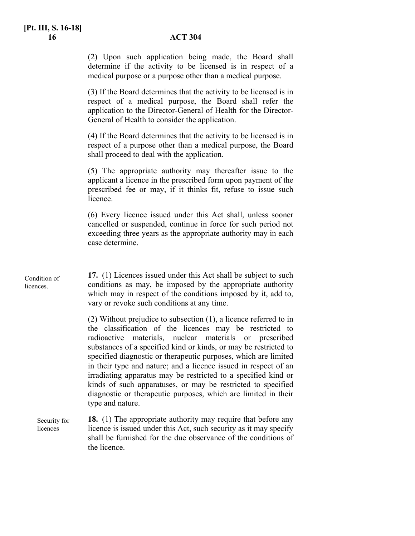(2) Upon such application being made, the Board shall determine if the activity to be licensed is in respect of a medical purpose or a purpose other than a medical purpose.

(3) If the Board determines that the activity to be licensed is in respect of a medical purpose, the Board shall refer the application to the Director-General of Health for the Director-General of Health to consider the application.

(4) If the Board determines that the activity to be licensed is in respect of a purpose other than a medical purpose, the Board shall proceed to deal with the application.

(5) The appropriate authority may thereafter issue to the applicant a licence in the prescribed form upon payment of the prescribed fee or may, if it thinks fit, refuse to issue such licence.

(6) Every licence issued under this Act shall, unless sooner cancelled or suspended, continue in force for such period not exceeding three years as the appropriate authority may in each case determine.

**17.** (1) Licences issued under this Act shall be subject to such conditions as may, be imposed by the appropriate authority which may in respect of the conditions imposed by it, add to, vary or revoke such conditions at any time. Condition of licences.

> (2) Without prejudice to subsection (1), a licence referred to in the classification of the licences may be restricted to radioactive materials, nuclear materials or prescribed substances of a specified kind or kinds, or may be restricted to specified diagnostic or therapeutic purposes, which are limited in their type and nature; and a licence issued in respect of an irradiating apparatus may be restricted to a specified kind or kinds of such apparatuses, or may be restricted to specified diagnostic or therapeutic purposes, which are limited in their type and nature.

**18.** (1) The appropriate authority may require that before any licence is issued under this Act, such security as it may specify shall be furnished for the due observance of the conditions of the licence. Security for licences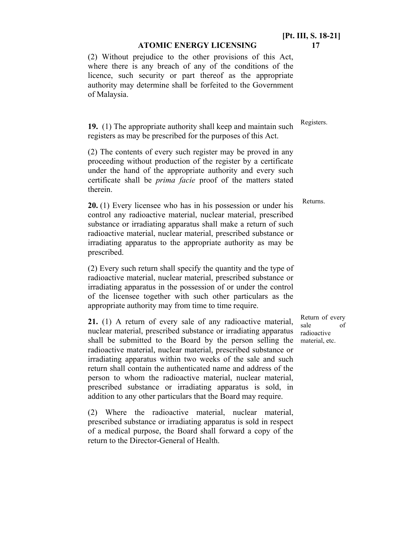(2) Without prejudice to the other provisions of this Act, where there is any breach of any of the conditions of the licence, such security or part thereof as the appropriate authority may determine shall be forfeited to the Government of Malaysia.

**19.** (1) The appropriate authority shall keep and maintain such registers as may be prescribed for the purposes of this Act.

(2) The contents of every such register may be proved in any proceeding without production of the register by a certificate under the hand of the appropriate authority and every such certificate shall be *prima facie* proof of the matters stated therein.

**20.** (1) Every licensee who has in his possession or under his control any radioactive material, nuclear material, prescribed substance or irradiating apparatus shall make a return of such radioactive material, nuclear material, prescribed substance or irradiating apparatus to the appropriate authority as may be prescribed.

(2) Every such return shall specify the quantity and the type of radioactive material, nuclear material, prescribed substance or irradiating apparatus in the possession of or under the control of the licensee together with such other particulars as the appropriate authority may from time to time require.

**21.** (1) A return of every sale of any radioactive material, nuclear material, prescribed substance or irradiating apparatus shall be submitted to the Board by the person selling the radioactive material, nuclear material, prescribed substance or irradiating apparatus within two weeks of the sale and such return shall contain the authenticated name and address of the person to whom the radioactive material, nuclear material, prescribed substance or irradiating apparatus is sold, in addition to any other particulars that the Board may require.

(2) Where the radioactive material, nuclear material, prescribed substance or irradiating apparatus is sold in respect of a medical purpose, the Board shall forward a copy of the return to the Director-General of Health.

Return of every sale of radioactive material, etc.

Registers.

Returns.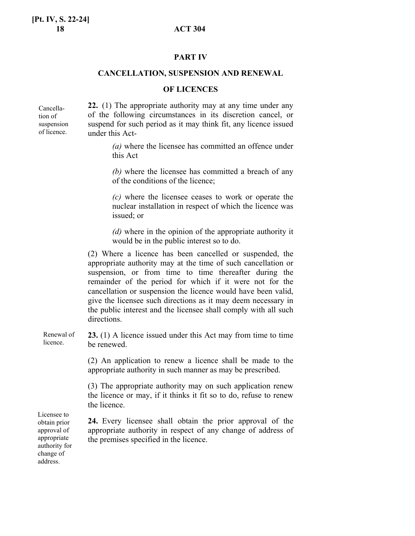#### **PART IV**

#### **CANCELLATION, SUSPENSION AND RENEWAL**

#### **OF LICENCES**

Cancellation of suspension of licence.

**22.** (1) The appropriate authority may at any time under any of the following circumstances in its discretion cancel, or suspend for such period as it may think fit, any licence issued under this Act-

> *(a)* where the licensee has committed an offence under this Act

> *(b)* where the licensee has committed a breach of any of the conditions of the licence;

> *(c)* where the licensee ceases to work or operate the nuclear installation in respect of which the licence was issued; or

> *(d)* where in the opinion of the appropriate authority it would be in the public interest so to do.

(2) Where a licence has been cancelled or suspended, the appropriate authority may at the time of such cancellation or suspension, or from time to time thereafter during the remainder of the period for which if it were not for the cancellation or suspension the licence would have been valid, give the licensee such directions as it may deem necessary in the public interest and the licensee shall comply with all such directions.

**23.** (1) A licence issued under this Act may from time to time be renewed. Renewal of licence.

> (2) An application to renew a licence shall be made to the appropriate authority in such manner as may be prescribed.

> (3) The appropriate authority may on such application renew the licence or may, if it thinks it fit so to do, refuse to renew the licence.

**24.** Every licensee shall obtain the prior approval of the appropriate authority in respect of any change of address of the premises specified in the licence.

Licensee to obtain prior approval of appropriate authority for change of address.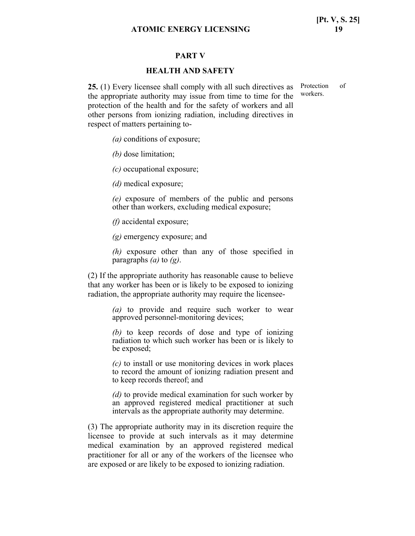#### **PART V**

#### **HEALTH AND SAFETY**

**25.** (1) Every licensee shall comply with all such directives as Protection of the appropriate authority may issue from time to time for the protection of the health and for the safety of workers and all other persons from ionizing radiation, including directives in respect of matters pertaining to-

*(a)* conditions of exposure;

*(b)* dose limitation;

*(c)* occupational exposure;

*(d)* medical exposure;

*(e)* exposure of members of the public and persons other than workers, excluding medical exposure;

*(f)* accidental exposure;

*(g)* emergency exposure; and

*(h)* exposure other than any of those specified in paragraphs *(a)* to *(g)*.

(2) If the appropriate authority has reasonable cause to believe that any worker has been or is likely to be exposed to ionizing radiation, the appropriate authority may require the licensee-

> *(a)* to provide and require such worker to wear approved personnel-monitoring devices;

> *(b)* to keep records of dose and type of ionizing radiation to which such worker has been or is likely to be exposed;

> *(c)* to install or use monitoring devices in work places to record the amount of ionizing radiation present and to keep records thereof; and

> *(d)* to provide medical examination for such worker by an approved registered medical practitioner at such intervals as the appropriate authority may determine.

(3) The appropriate authority may in its discretion require the licensee to provide at such intervals as it may determine medical examination by an approved registered medical practitioner for all or any of the workers of the licensee who are exposed or are likely to be exposed to ionizing radiation.

workers.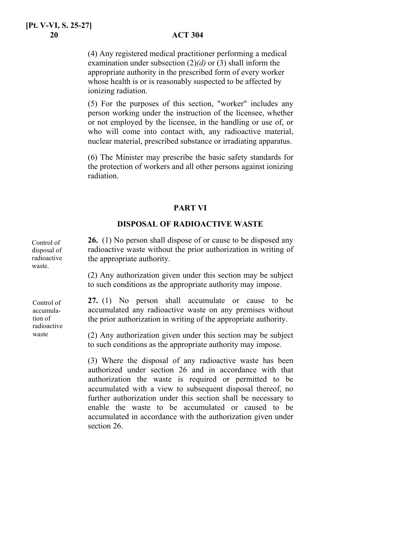(4) Any registered medical practitioner performing a medical examination under subsection (2)*(d)* or (3) shall inform the appropriate authority in the prescribed form of every worker whose health is or is reasonably suspected to be affected by ionizing radiation.

(5) For the purposes of this section, "worker" includes any person working under the instruction of the licensee, whether or not employed by the licensee, in the handling or use of, or who will come into contact with, any radioactive material, nuclear material, prescribed substance or irradiating apparatus.

(6) The Minister may prescribe the basic safety standards for the protection of workers and all other persons against ionizing radiation.

#### **PART VI**

#### **DISPOSAL OF RADIOACTIVE WASTE**

**26.** (1) No person shall dispose of or cause to be disposed any radioactive waste without the prior authorization in writing of the appropriate authority.

> (2) Any authorization given under this section may be subject to such conditions as the appropriate authority may impose.

**27.** (1) No person shall accumulate or cause to be accumulated any radioactive waste on any premises without the prior authorization in writing of the appropriate authority.

(2) Any authorization given under this section may be subject to such conditions as the appropriate authority may impose.

(3) Where the disposal of any radioactive waste has been authorized under section 26 and in accordance with that authorization the waste is required or permitted to be accumulated with a view to subsequent disposal thereof, no further authorization under this section shall be necessary to enable the waste to be accumulated or caused to be accumulated in accordance with the authorization given under section 26.

Control of disposal of radioactive waste.

Control of accumulation of radioactive waste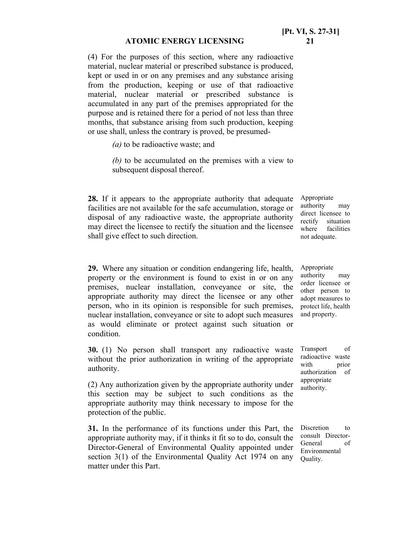(4) For the purposes of this section, where any radioactive material, nuclear material or prescribed substance is produced, kept or used in or on any premises and any substance arising from the production, keeping or use of that radioactive material, nuclear material or prescribed substance is accumulated in any part of the premises appropriated for the purpose and is retained there for a period of not less than three months, that substance arising from such production, keeping or use shall, unless the contrary is proved, be presumed-

*(a)* to be radioactive waste; and

*(b)* to be accumulated on the premises with a view to subsequent disposal thereof.

**28.** If it appears to the appropriate authority that adequate facilities are not available for the safe accumulation, storage or disposal of any radioactive waste, the appropriate authority may direct the licensee to rectify the situation and the licensee shall give effect to such direction.

**29.** Where any situation or condition endangering life, health, property or the environment is found to exist in or on any premises, nuclear installation, conveyance or site, the appropriate authority may direct the licensee or any other person, who in its opinion is responsible for such premises, nuclear installation, conveyance or site to adopt such measures as would eliminate or protect against such situation or condition.

**30.** (1) No person shall transport any radioactive waste without the prior authorization in writing of the appropriate authority.

(2) Any authorization given by the appropriate authority under this section may be subject to such conditions as the appropriate authority may think necessary to impose for the protection of the public.

**31.** In the performance of its functions under this Part, the appropriate authority may, if it thinks it fit so to do, consult the Director-General of Environmental Quality appointed under section 3(1) of the Environmental Quality Act 1974 on any matter under this Part.

Appropriate authority may direct licensee to rectify situation where facilities not adequate.

Appropriate authority may order licensee or other person to adopt measures to protect life, health and property.

Transport of radioactive waste with prior authorization of appropriate authority.

Discretion to consult Director-General of Environmental Quality.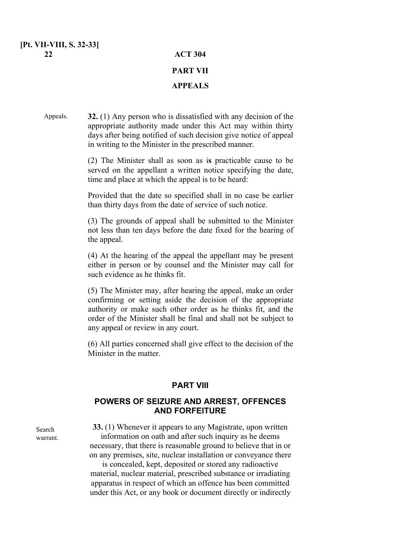#### **[Pt. VII-VIII, S. 32-33] 22 ACT 304**

# **PART VII APPEALS**

#### **32.** (1) Any person who is dissatisfied with any decision of the appropriate authority made under this Act may within thirty days after being notified of such decision give notice of appeal in writing to the Minister in the prescribed manner. Appeals.

(2) The Minister shall as soon as i**s** practicable cause to be served on the appellant a written notice specifying the date, time and place at which the appeal is to be heard:

Provided that the date so specified shall in no case be earlier than thirty days from the date of service of such notice.

(3) The grounds of appeal shall be submitted to the Minister not less than ten days before the date fixed for the hearing of the appeal.

(4) At the hearing of the appeal the appellant may be present either in person or by counsel and the Minister may call for such evidence as he thinks fit.

(5) The Minister may, after hearing the appeal, make an order confirming or setting aside the decision of the appropriate authority or make such other order as he thinks fit, and the order of the Minister shall be final and shall not be subject to any appeal or review in any court.

(6) All parties concerned shall give effect to the decision of the Minister in the matter.

#### **PART VIII**

## **POWERS OF SEIZURE AND ARREST, OFFENCES AND FORFEITURE**

Search warrant.

**33.** (1) Whenever it appears to any Magistrate, upon written information on oath and after such inquiry as he deems necessary, that there is reasonable ground to believe that in or on any premises, site, nuclear installation or conveyance there

is concealed, kept, deposited or stored any radioactive material, nuclear material, prescribed substance or irradiating apparatus in respect of which an offence has been committed under this Act, or any book or document directly or indirectly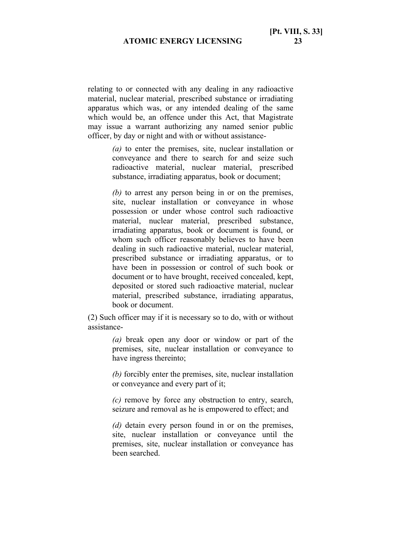relating to or connected with any dealing in any radioactive material, nuclear material, prescribed substance or irradiating apparatus which was, or any intended dealing of the same which would be, an offence under this Act, that Magistrate may issue a warrant authorizing any named senior public officer, by day or night and with or without assistance-

> *(a)* to enter the premises, site, nuclear installation or conveyance and there to search for and seize such radioactive material, nuclear material, prescribed substance, irradiating apparatus, book or document;

> *(b)* to arrest any person being in or on the premises, site, nuclear installation or conveyance in whose possession or under whose control such radioactive material, nuclear material, prescribed substance, irradiating apparatus, book or document is found, or whom such officer reasonably believes to have been dealing in such radioactive material, nuclear material, prescribed substance or irradiating apparatus, or to have been in possession or control of such book or document or to have brought, received concealed, kept, deposited or stored such radioactive material, nuclear material, prescribed substance, irradiating apparatus, book or document.

(2) Such officer may if it is necessary so to do, with or without assistance-

> *(a)* break open any door or window or part of the premises, site, nuclear installation or conveyance to have ingress thereinto;

> *(b)* forcibly enter the premises, site, nuclear installation or conveyance and every part of it;

> *(c)* remove by force any obstruction to entry, search, seizure and removal as he is empowered to effect; and

> *(d)* detain every person found in or on the premises, site, nuclear installation or conveyance until the premises, site, nuclear installation or conveyance has been searched.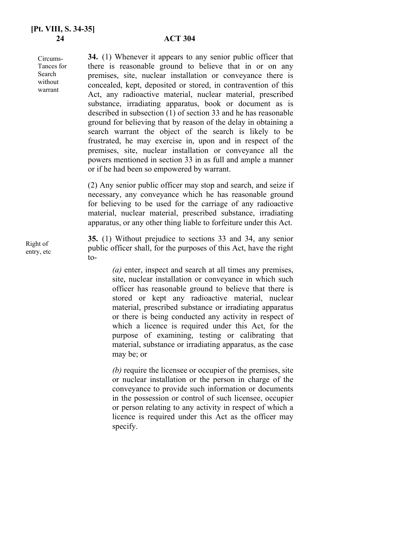Circums-Tances for Search without warrant

**34.** (1) Whenever it appears to any senior public officer that there is reasonable ground to believe that in or on any premises, site, nuclear installation or conveyance there is concealed, kept, deposited or stored, in contravention of this Act, any radioactive material, nuclear material, prescribed substance, irradiating apparatus, book or document as is described in subsection (1) of section 33 and he has reasonable ground for believing that by reason of the delay in obtaining a search warrant the object of the search is likely to be frustrated, he may exercise in, upon and in respect of the premises, site, nuclear installation or conveyance all the powers mentioned in section 33 in as full and ample a manner or if he had been so empowered by warrant.

(2) Any senior public officer may stop and search, and seize if necessary, any conveyance which he has reasonable ground for believing to be used for the carriage of any radioactive material, nuclear material, prescribed substance, irradiating apparatus, or any other thing liable to forfeiture under this Act.

**35.** (1) Without prejudice to sections 33 and 34, any senior public officer shall, for the purposes of this Act, have the right to-

> *(a)* enter, inspect and search at all times any premises, site, nuclear installation or conveyance in which such officer has reasonable ground to believe that there is stored or kept any radioactive material, nuclear material, prescribed substance or irradiating apparatus or there is being conducted any activity in respect of which a licence is required under this Act, for the purpose of examining, testing or calibrating that material, substance or irradiating apparatus, as the case may be; or

> *(b)* require the licensee or occupier of the premises, site or nuclear installation or the person in charge of the conveyance to provide such information or documents in the possession or control of such licensee, occupier or person relating to any activity in respect of which a licence is required under this Act as the officer may specify.

Right of entry, etc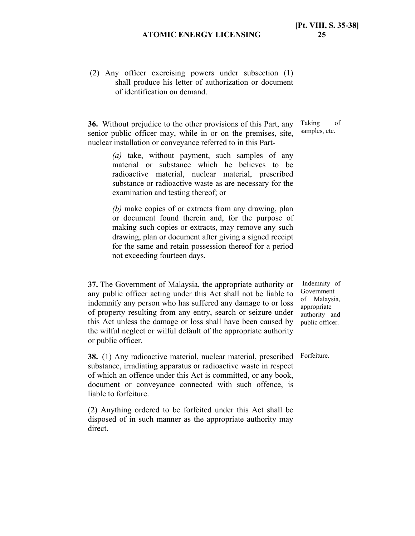(2) Any officer exercising powers under subsection (1) shall produce his letter of authorization or document of identification on demand.

**36.** Without prejudice to the other provisions of this Part, any senior public officer may, while in or on the premises, site, nuclear installation or conveyance referred to in this Part-

> *(a)* take, without payment, such samples of any material or substance which he believes to be radioactive material, nuclear material, prescribed substance or radioactive waste as are necessary for the examination and testing thereof; or

> *(b)* make copies of or extracts from any drawing, plan or document found therein and, for the purpose of making such copies or extracts, may remove any such drawing, plan or document after giving a signed receipt for the same and retain possession thereof for a period not exceeding fourteen days.

**37.** The Government of Malaysia, the appropriate authority or any public officer acting under this Act shall not be liable to indemnify any person who has suffered any damage to or loss of property resulting from any entry, search or seizure under this Act unless the damage or loss shall have been caused by the wilful neglect or wilful default of the appropriate authority or public officer.

 Indemnity of Government of Malaysia, appropriate authority and public officer.

Forfeiture.

**38.** (1) Any radioactive material, nuclear material, prescribed substance, irradiating apparatus or radioactive waste in respect of which an offence under this Act is committed, or any book, document or conveyance connected with such offence, is liable to forfeiture.

(2) Anything ordered to be forfeited under this Act shall be disposed of in such manner as the appropriate authority may direct.

Taking of samples, etc.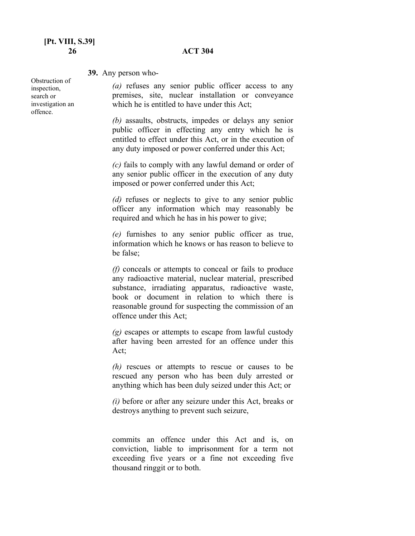#### **26 ACT 304**

#### **39.** Any person who-

Obstruction of inspection, search or investigation an offence.

*(a)* refuses any senior public officer access to any premises, site, nuclear installation or conveyance which he is entitled to have under this Act;

*(b)* assaults, obstructs, impedes or delays any senior public officer in effecting any entry which he is entitled to effect under this Act, or in the execution of any duty imposed or power conferred under this Act;

*(c)* fails to comply with any lawful demand or order of any senior public officer in the execution of any duty imposed or power conferred under this Act;

*(d)* refuses or neglects to give to any senior public officer any information which may reasonably be required and which he has in his power to give;

*(e)* furnishes to any senior public officer as true, information which he knows or has reason to believe to be false;

*(f)* conceals or attempts to conceal or fails to produce any radioactive material, nuclear material, prescribed substance, irradiating apparatus, radioactive waste, book or document in relation to which there is reasonable ground for suspecting the commission of an offence under this Act;

*(g)* escapes or attempts to escape from lawful custody after having been arrested for an offence under this Act;

*(h)* rescues or attempts to rescue or causes to be rescued any person who has been duly arrested or anything which has been duly seized under this Act; or

*(i)* before or after any seizure under this Act, breaks or destroys anything to prevent such seizure,

commits an offence under this Act and is, on conviction, liable to imprisonment for a term not exceeding five years or a fine not exceeding five thousand ringgit or to both.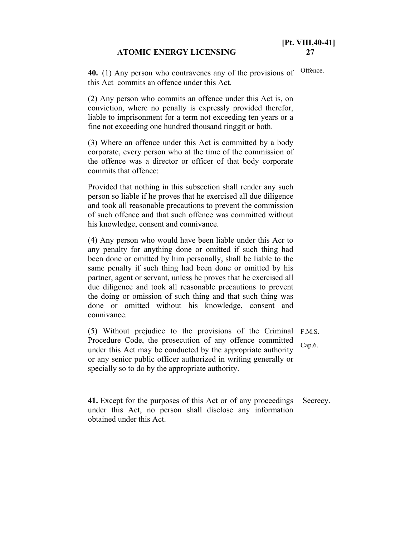**40.** (1) Any person who contravenes any of the provisions of this Act commits an offence under this Act. Offence.

(2) Any person who commits an offence under this Act is, on conviction, where no penalty is expressly provided therefor, liable to imprisonment for a term not exceeding ten years or a fine not exceeding one hundred thousand ringgit or both.

(3) Where an offence under this Act is committed by a body corporate, every person who at the time of the commission of the offence was a director or officer of that body corporate commits that offence:

Provided that nothing in this subsection shall render any such person so liable if he proves that he exercised all due diligence and took all reasonable precautions to prevent the commission of such offence and that such offence was committed without his knowledge, consent and connivance.

(4) Any person who would have been liable under this Acr to any penalty for anything done or omitted if such thing had been done or omitted by him personally, shall be liable to the same penalty if such thing had been done or omitted by his partner, agent or servant, unless he proves that he exercised all due diligence and took all reasonable precautions to prevent the doing or omission of such thing and that such thing was done or omitted without his knowledge, consent and connivance.

(5) Without prejudice to the provisions of the Criminal F.M.S. Procedure Code, the prosecution of any offence committed under this Act may be conducted by the appropriate authority or any senior public officer authorized in writing generally or specially so to do by the appropriate authority. Cap.6.

**41.** Except for the purposes of this Act or of any proceedings under this Act, no person shall disclose any information obtained under this Act. Secrecy.

**[Pt. VIII,40-41]**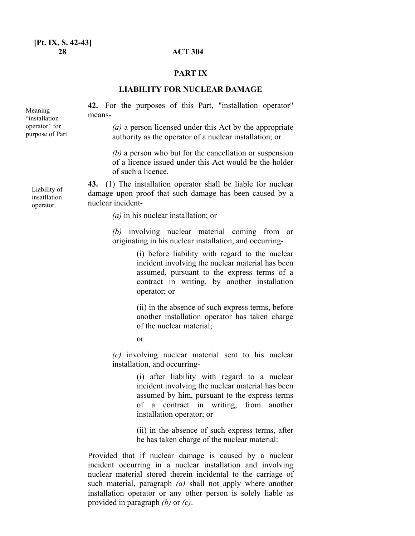#### **PART IX**

#### **LIABILITY FOR NUCLEAR DAMAGE**

**42.** For the purposes of this Part, "installation operator" means-

> *(a)* a person licensed under this Act by the appropriate authority as the operator of a nuclear installation; or

*(b)* a person who but for the cancellation or suspension of a licence issued under this Act would be the holder of such a licence.

**43.** (1) The installation operator shall be liable for nuclear damage upon proof that such damage has been caused by a nuclear incident-

*(a)* in his nuclear installation; or

*(b)* involving nuclear material coming from or originating in his nuclear installation, and occurring-

> (i) before liability with regard to the nuclear incident involving the nuclear material has been assumed, pursuant to the express terms of a contract in writing, by another installation operator; or

> (ii) in the absence of such express terms, before another installation operator has taken charge of the nuclear material;

or

*(c)* involving nuclear material sent to his nuclear installation, and occurring-

> (i) after liability with regard to a nuclear incident involving the nuclear material has been assumed by him, pursuant to the express terms of a contract in writing, from another installation operator; or

> (ii) in the absence of such express terms, after he has taken charge of the nuclear material:

Provided that if nuclear damage is caused by a nuclear incident occurring in a nuclear installation and involving nuclear material stored therein incidental to the carriage of such material, paragraph *(a)* shall not apply where another installation operator or any other person is solely liable as provided in paragraph *(b)* or *(c)*.

Liability of insatllation operator.

Meaning "installation operator" for purpose of Part.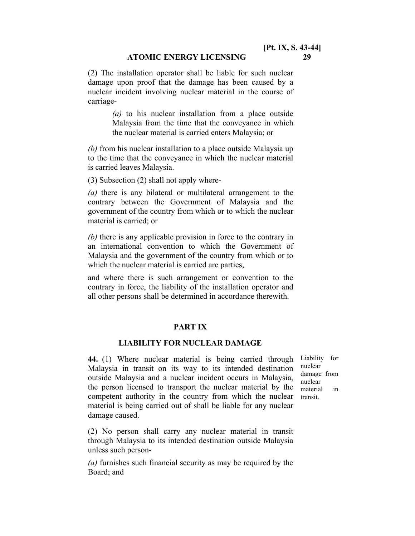(2) The installation operator shall be liable for such nuclear damage upon proof that the damage has been caused by a nuclear incident involving nuclear material in the course of carriage-

> *(a)* to his nuclear installation from a place outside Malaysia from the time that the conveyance in which the nuclear material is carried enters Malaysia; or

*(b)* from his nuclear installation to a place outside Malaysia up to the time that the conveyance in which the nuclear material is carried leaves Malaysia.

(3) Subsection (2) shall not apply where-

*(a)* there is any bilateral or multilateral arrangement to the contrary between the Government of Malaysia and the government of the country from which or to which the nuclear material is carried; or

*(b)* there is any applicable provision in force to the contrary in an international convention to which the Government of Malaysia and the government of the country from which or to which the nuclear material is carried are parties,

and where there is such arrangement or convention to the contrary in force, the liability of the installation operator and all other persons shall be determined in accordance therewith.

#### **PART IX**

#### **LIABILITY FOR NUCLEAR DAMAGE**

**44.** (1) Where nuclear material is being carried through Malaysia in transit on its way to its intended destination outside Malaysia and a nuclear incident occurs in Malaysia, the person licensed to transport the nuclear material by the competent authority in the country from which the nuclear material is being carried out of shall be liable for any nuclear damage caused.

Liability for nuclear damage from nuclear material in transit.

(2) No person shall carry any nuclear material in transit through Malaysia to its intended destination outside Malaysia unless such person-

*(a)* furnishes such financial security as may be required by the Board; and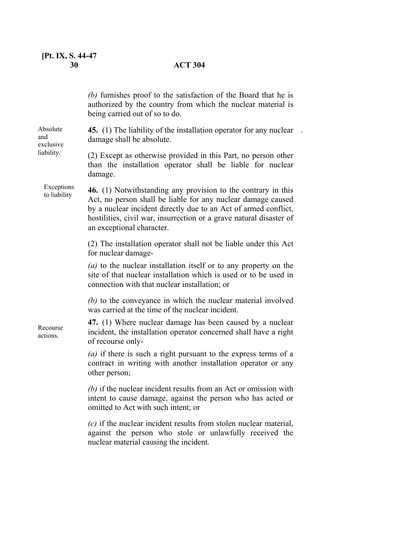|                                            | (b) furnishes proof to the satisfaction of the Board that he is<br>authorized by the country from which the nuclear material is<br>being carried out of so to do.                                                                                                                                    |
|--------------------------------------------|------------------------------------------------------------------------------------------------------------------------------------------------------------------------------------------------------------------------------------------------------------------------------------------------------|
| Absolute<br>and<br>exclusive<br>liability. | 45. (1) The liability of the installation operator for any nuclear<br>damage shall be absolute.                                                                                                                                                                                                      |
|                                            | (2) Except as otherwise provided in this Part, no person other<br>than the installation operator shall be liable for nuclear<br>damage.                                                                                                                                                              |
| Exceptions<br>to liability                 | 46. (1) Notwithstanding any provision to the contrary in this<br>Act, no person shall be liable for any nuclear damage caused<br>by a nuclear incident directly due to an Act of armed conflict,<br>hostilities, civil war, insurrection or a grave natural disaster of<br>an exceptional character. |
|                                            | (2) The installation operator shall not be liable under this Act<br>for nuclear damage-                                                                                                                                                                                                              |
|                                            | (a) to the nuclear installation itself or to any property on the<br>site of that nuclear installation which is used or to be used in<br>connection with that nuclear installation; or                                                                                                                |
|                                            | $(b)$ to the conveyance in which the nuclear material involved<br>was carried at the time of the nuclear incident.                                                                                                                                                                                   |
| Recourse<br>actions.                       | 47. (1) Where nuclear damage has been caused by a nuclear<br>incident, the installation operator concerned shall have a right<br>of recourse only-                                                                                                                                                   |
|                                            | $(a)$ if there is such a right pursuant to the express terms of a<br>contract in writing with another installation operator or any<br>other person;                                                                                                                                                  |
|                                            | (b) if the nuclear incident results from an Act or omission with<br>intent to cause damage, against the person who has acted or<br>omitted to Act with such intent; or                                                                                                                               |
|                                            | $(c)$ if the nuclear incident results from stolen nuclear material,<br>against the person who stole or unlawfully received the<br>nuclear material causing the incident.                                                                                                                             |
|                                            |                                                                                                                                                                                                                                                                                                      |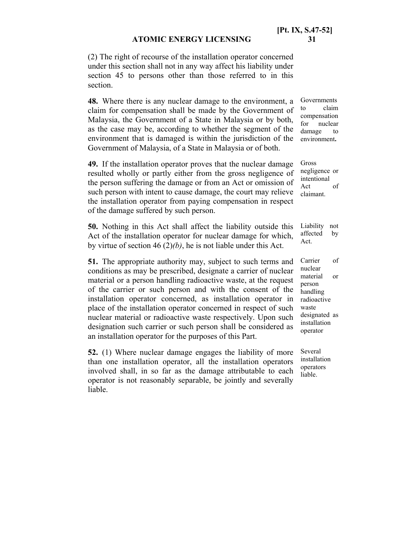(2) The right of recourse of the installation operator concerned under this section shall not in any way affect his liability under section 45 to persons other than those referred to in this section.

**48.** Where there is any nuclear damage to the environment, a claim for compensation shall be made by the Government of Malaysia, the Government of a State in Malaysia or by both, as the case may be, according to whether the segment of the environment that is damaged is within the jurisdiction of the Government of Malaysia, of a State in Malaysia or of both.

**49.** If the installation operator proves that the nuclear damage resulted wholly or partly either from the gross negligence of the person suffering the damage or from an Act or omission of such person with intent to cause damage, the court may relieve the installation operator from paying compensation in respect of the damage suffered by such person.

**50.** Nothing in this Act shall affect the liability outside this Act of the installation operator for nuclear damage for which, by virtue of section 46 (2)*(b)*, he is not liable under this Act. Act.

**51.** The appropriate authority may, subject to such terms and conditions as may be prescribed, designate a carrier of nuclear material or a person handling radioactive waste, at the request of the carrier or such person and with the consent of the installation operator concerned, as installation operator in place of the installation operator concerned in respect of such nuclear material or radioactive waste respectively. Upon such designation such carrier or such person shall be considered as an installation operator for the purposes of this Part.

**52.** (1) Where nuclear damage engages the liability of more than one installation operator, all the installation operators involved shall, in so far as the damage attributable to each operator is not reasonably separable, be jointly and severally liable.

Governments to claim compensation for nuclear damage to environment**.**

Gross negligence or intentional Act of claimant.

Liability not affected by

Carrier of nuclear material or person handling radioactive waste designated as installation operator

Several installation operators liable.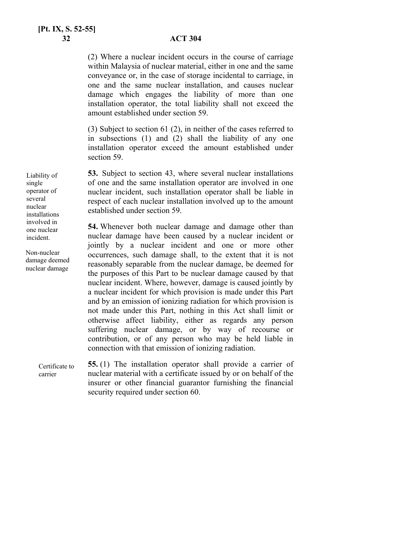(2) Where a nuclear incident occurs in the course of carriage within Malaysia of nuclear material, either in one and the same conveyance or, in the case of storage incidental to carriage, in one and the same nuclear installation, and causes nuclear damage which engages the liability of more than one installation operator, the total liability shall not exceed the amount established under section 59.

(3) Subject to section 61 (2), in neither of the cases referred to in subsections (1) and (2) shall the liability of any one installation operator exceed the amount established under section 59.

**53.** Subject to section 43, where several nuclear installations of one and the same installation operator are involved in one nuclear incident, such installation operator shall be liable in respect of each nuclear installation involved up to the amount established under section 59.

**54.** Whenever both nuclear damage and damage other than nuclear damage have been caused by a nuclear incident or jointly by a nuclear incident and one or more other occurrences, such damage shall, to the extent that it is not reasonably separable from the nuclear damage, be deemed for the purposes of this Part to be nuclear damage caused by that nuclear incident. Where, however, damage is caused jointly by a nuclear incident for which provision is made under this Part and by an emission of ionizing radiation for which provision is not made under this Part, nothing in this Act shall limit or otherwise affect liability, either as regards any person suffering nuclear damage, or by way of recourse or contribution, or of any person who may be held liable in connection with that emission of ionizing radiation.

**55.** (1) The installation operator shall provide a carrier of nuclear material with a certificate issued by or on behalf of the insurer or other financial guarantor furnishing the financial security required under section 60. Certificate to carrier

Liability of single operator of several nuclear installations involved in one nuclear incident.

Non-nuclear damage deemed nuclear damage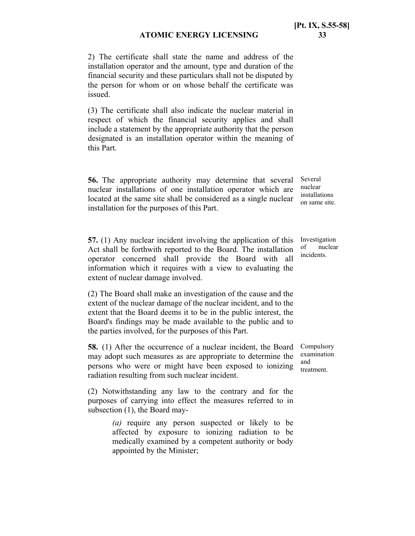2) The certificate shall state the name and address of the installation operator and the amount, type and duration of the financial security and these particulars shall not be disputed by the person for whom or on whose behalf the certificate was issued.

(3) The certificate shall also indicate the nuclear material in respect of which the financial security applies and shall include a statement by the appropriate authority that the person designated is an installation operator within the meaning of this Part.

**56.** The appropriate authority may determine that several nuclear installations of one installation operator which are located at the same site shall be considered as a single nuclear installation for the purposes of this Part.

**57.** (1) Any nuclear incident involving the application of this Act shall be forthwith reported to the Board. The installation operator concerned shall provide the Board with all information which it requires with a view to evaluating the extent of nuclear damage involved.

(2) The Board shall make an investigation of the cause and the extent of the nuclear damage of the nuclear incident, and to the extent that the Board deems it to be in the public interest, the Board's findings may be made available to the public and to the parties involved, for the purposes of this Part.

**58.** (1) After the occurrence of a nuclear incident, the Board may adopt such measures as are appropriate to determine the persons who were or might have been exposed to ionizing radiation resulting from such nuclear incident.

(2) Notwithstanding any law to the contrary and for the purposes of carrying into effect the measures referred to in subsection (1), the Board may-

> *(a)* require any person suspected or likely to be affected by exposure to ionizing radiation to be medically examined by a competent authority or body appointed by the Minister;

Several nuclear installations on same site.

Investigation of nuclear incidents.

Compulsory examination and treatment.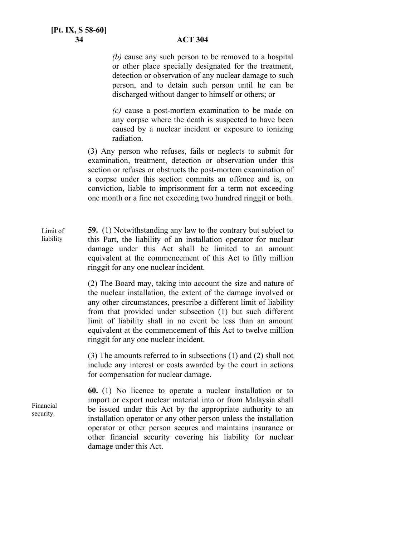*(b)* cause any such person to be removed to a hospital or other place specially designated for the treatment, detection or observation of any nuclear damage to such person, and to detain such person until he can be discharged without danger to himself or others; or

*(c)* cause a post-mortem examination to be made on any corpse where the death is suspected to have been caused by a nuclear incident or exposure to ionizing radiation.

(3) Any person who refuses, fails or neglects to submit for examination, treatment, detection or observation under this section or refuses or obstructs the post-mortem examination of a corpse under this section commits an offence and is, on conviction, liable to imprisonment for a term not exceeding one month or a fine not exceeding two hundred ringgit or both.

**59.** (1) Notwithstanding any law to the contrary but subject to this Part, the liability of an installation operator for nuclear damage under this Act shall be limited to an amount equivalent at the commencement of this Act to fifty million ringgit for any one nuclear incident. Limit of liability

> (2) The Board may, taking into account the size and nature of the nuclear installation, the extent of the damage involved or any other circumstances, prescribe a different limit of liability from that provided under subsection (1) but such different limit of liability shall in no event be less than an amount equivalent at the commencement of this Act to twelve million ringgit for any one nuclear incident.

> (3) The amounts referred to in subsections (1) and (2) shall not include any interest or costs awarded by the court in actions for compensation for nuclear damage.

**60.** (1) No licence to operate a nuclear installation or to import or export nuclear material into or from Malaysia shall be issued under this Act by the appropriate authority to an installation operator or any other person unless the installation operator or other person secures and maintains insurance or other financial security covering his liability for nuclear damage under this Act.

Financial security.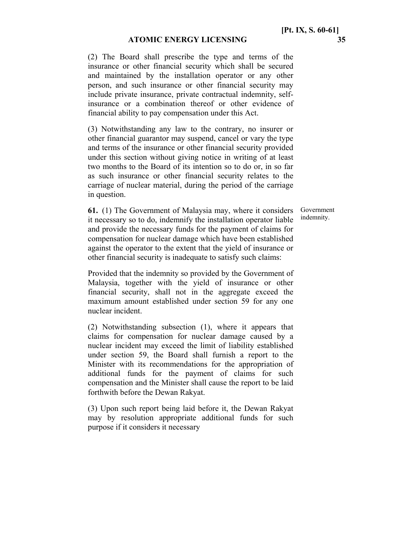(2) The Board shall prescribe the type and terms of the insurance or other financial security which shall be secured and maintained by the installation operator or any other person, and such insurance or other financial security may include private insurance, private contractual indemnity, selfinsurance or a combination thereof or other evidence of financial ability to pay compensation under this Act.

(3) Notwithstanding any law to the contrary, no insurer or other financial guarantor may suspend, cancel or vary the type and terms of the insurance or other financial security provided under this section without giving notice in writing of at least two months to the Board of its intention so to do or, in so far as such insurance or other financial security relates to the carriage of nuclear material, during the period of the carriage in question.

> Government indemnity.

**61.** (1) The Government of Malaysia may, where it considers it necessary so to do, indemnify the installation operator liable and provide the necessary funds for the payment of claims for compensation for nuclear damage which have been established against the operator to the extent that the yield of insurance or other financial security is inadequate to satisfy such claims:

Provided that the indemnity so provided by the Government of Malaysia, together with the yield of insurance or other financial security, shall not in the aggregate exceed the maximum amount established under section 59 for any one nuclear incident.

(2) Notwithstanding subsection (1), where it appears that claims for compensation for nuclear damage caused by a nuclear incident may exceed the limit of liability established under section 59, the Board shall furnish a report to the Minister with its recommendations for the appropriation of additional funds for the payment of claims for such compensation and the Minister shall cause the report to be laid forthwith before the Dewan Rakyat.

(3) Upon such report being laid before it, the Dewan Rakyat may by resolution appropriate additional funds for such purpose if it considers it necessary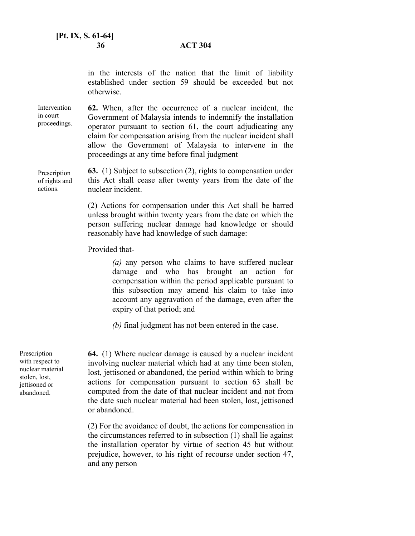in the interests of the nation that the limit of liability established under section 59 should be exceeded but not otherwise.

**62.** When, after the occurrence of a nuclear incident, the Government of Malaysia intends to indemnify the installation operator pursuant to section 61, the court adjudicating any claim for compensation arising from the nuclear incident shall allow the Government of Malaysia to intervene in the proceedings at any time before final judgment **Intervention** in court proceedings.

**63.** (1) Subject to subsection (2), rights to compensation under this Act shall cease after twenty years from the date of the nuclear incident. Prescription of rights and

> (2) Actions for compensation under this Act shall be barred unless brought within twenty years from the date on which the person suffering nuclear damage had knowledge or should reasonably have had knowledge of such damage:

Provided that-

*(a)* any person who claims to have suffered nuclear damage and who has brought an action for compensation within the period applicable pursuant to this subsection may amend his claim to take into account any aggravation of the damage, even after the expiry of that period; and

*(b)* final judgment has not been entered in the case.

Prescription with respect to nuclear material stolen, lost, jettisoned or abandoned.

actions.

**64.** (1) Where nuclear damage is caused by a nuclear incident involving nuclear material which had at any time been stolen, lost, jettisoned or abandoned, the period within which to bring actions for compensation pursuant to section 63 shall be computed from the date of that nuclear incident and not from the date such nuclear material had been stolen, lost, jettisoned or abandoned.

(2) For the avoidance of doubt, the actions for compensation in the circumstances referred to in subsection (1) shall lie against the installation operator by virtue of section 45 but without prejudice, however, to his right of recourse under section 47, and any person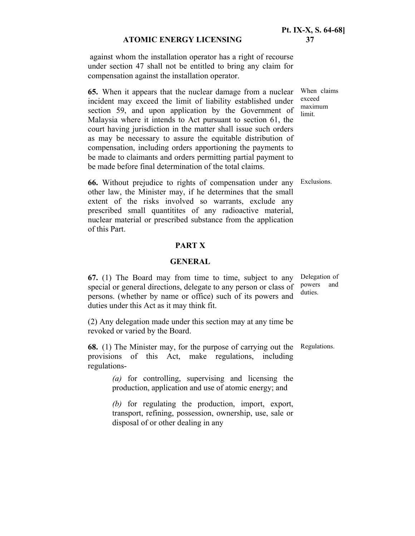against whom the installation operator has a right of recourse under section 47 shall not be entitled to bring any claim for compensation against the installation operator.

**65.** When it appears that the nuclear damage from a nuclear incident may exceed the limit of liability established under section 59, and upon application by the Government of Malaysia where it intends to Act pursuant to section 61, the court having jurisdiction in the matter shall issue such orders as may be necessary to assure the equitable distribution of compensation, including orders apportioning the payments to be made to claimants and orders permitting partial payment to be made before final determination of the total claims.

When claims exceed maximum limit.

**66.** Without prejudice to rights of compensation under any Exclusions. other law, the Minister may, if he determines that the small extent of the risks involved so warrants, exclude any prescribed small quantitites of any radioactive material, nuclear material or prescribed substance from the application of this Part.

#### **PART X**

#### **GENERAL**

**67.** (1) The Board may from time to time, subject to any special or general directions, delegate to any person or class of persons. (whether by name or office) such of its powers and duties under this Act as it may think fit. Delegation of powers and duties.

(2) Any delegation made under this section may at any time be revoked or varied by the Board.

**68.** (1) The Minister may, for the purpose of carrying out the Regulations. provisions of this Act, make regulations, including regulations-

*(a)* for controlling, supervising and licensing the production, application and use of atomic energy; and

*(b)* for regulating the production, import, export, transport, refining, possession, ownership, use, sale or disposal of or other dealing in any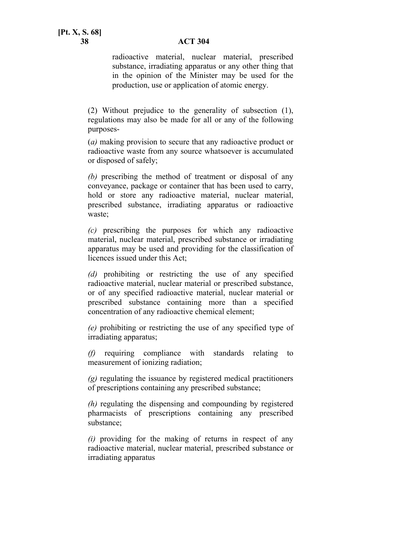#### **38 ACT 304**

radioactive material, nuclear material, prescribed substance, irradiating apparatus or any other thing that in the opinion of the Minister may be used for the production, use or application of atomic energy.

(2) Without prejudice to the generality of subsection (1), regulations may also be made for all or any of the following purposes-

(*a)* making provision to secure that any radioactive product or radioactive waste from any source whatsoever is accumulated or disposed of safely;

*(b)* prescribing the method of treatment or disposal of any conveyance, package or container that has been used to carry, hold or store any radioactive material, nuclear material, prescribed substance, irradiating apparatus or radioactive waste;

*(c)* prescribing the purposes for which any radioactive material, nuclear material, prescribed substance or irradiating apparatus may be used and providing for the classification of licences issued under this Act;

*(d)* prohibiting or restricting the use of any specified radioactive material, nuclear material or prescribed substance, or of any specified radioactive material, nuclear material or prescribed substance containing more than a specified concentration of any radioactive chemical element;

*(e)* prohibiting or restricting the use of any specified type of irradiating apparatus;

*(f)* requiring compliance with standards relating to measurement of ionizing radiation;

*(g)* regulating the issuance by registered medical practitioners of prescriptions containing any prescribed substance;

*(h)* regulating the dispensing and compounding by registered pharmacists of prescriptions containing any prescribed substance;

*(i)* providing for the making of returns in respect of any radioactive material, nuclear material, prescribed substance or irradiating apparatus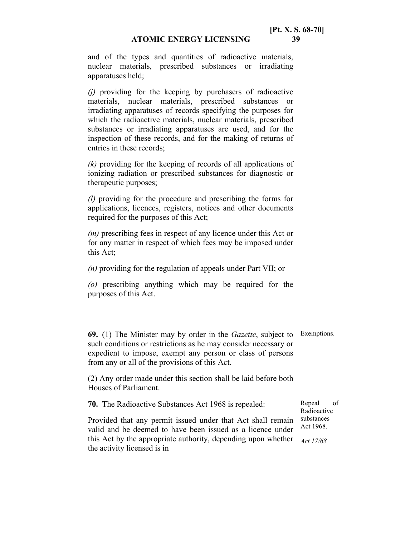and of the types and quantities of radioactive materials, nuclear materials, prescribed substances or irradiating apparatuses held;

*(j)* providing for the keeping by purchasers of radioactive materials, nuclear materials, prescribed substances or irradiating apparatuses of records specifying the purposes for which the radioactive materials, nuclear materials, prescribed substances or irradiating apparatuses are used, and for the inspection of these records, and for the making of returns of entries in these records;

*(k)* providing for the keeping of records of all applications of ionizing radiation or prescribed substances for diagnostic or therapeutic purposes;

*(l)* providing for the procedure and prescribing the forms for applications, licences, registers, notices and other documents required for the purposes of this Act;

*(m)* prescribing fees in respect of any licence under this Act or for any matter in respect of which fees may be imposed under this Act;

*(n)* providing for the regulation of appeals under Part VII; or

*(o)* prescribing anything which may be required for the purposes of this Act.

**69.** (1) The Minister may by order in the *Gazette*, subject to Exemptions. such conditions or restrictions as he may consider necessary or expedient to impose, exempt any person or class of persons from any or all of the provisions of this Act.

(2) Any order made under this section shall be laid before both Houses of Parliament.

**70.** The Radioactive Substances Act 1968 is repealed: Provided that any permit issued under that Act shall remain valid and be deemed to have been issued as a licence under this Act by the appropriate authority, depending upon whether *Act 17/68*  the activity licensed is in Radioactive substances Act 1968.

Repeal of